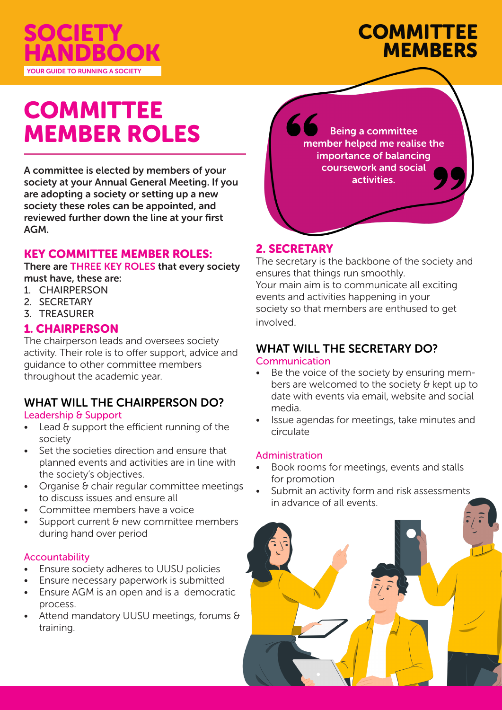

# **COMMITTEE MEMBERS**

# COMMITTEE MEMBER ROLES

A committee is elected by members of your society at your Annual General Meeting. If you are adopting a society or setting up a new society these roles can be appointed, and reviewed further down the line at your first AGM.

### KEY COMMITTEE MEMBER ROLES:

There are THREE KEY ROLES that every society must have, these are:

- 1. CHAIRPERSON
- 2. SECRETARY
- 3. TREASURER

### 1. CHAIRPERSON

The chairperson leads and oversees society activity. Their role is to offer support, advice and guidance to other committee members throughout the academic year.

# WHAT WILL THE CHAIRPERSON DO?

#### Leadership & Support

- Lead & support the efficient running of the society
- Set the societies direction and ensure that planned events and activities are in line with the society's objectives.
- Organise & chair regular committee meetings to discuss issues and ensure all
- Committee members have a voice
- Support current & new committee members during hand over period

#### Accountability

- Ensure society adheres to UUSU policies
- Ensure necessary paperwork is submitted
- Ensure AGM is an open and is a democratic process.
- Attend mandatory UUSU meetings, forums & training.



## 2. SECRETARY

The secretary is the backbone of the society and ensures that things run smoothly. Your main aim is to communicate all exciting events and activities happening in your society so that members are enthused to get involved.

# WHAT WILL THE SECRETARY DO?

#### Communication

- Be the voice of the society by ensuring members are welcomed to the society & kept up to date with events via email, website and social media.
- Issue agendas for meetings, take minutes and circulate

#### Administration

- Book rooms for meetings, events and stalls for promotion
- Submit an activity form and risk assessments in advance of all events.